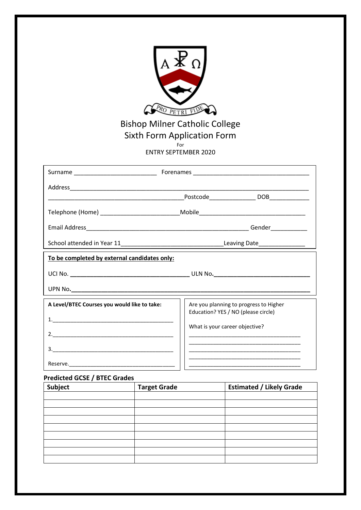

## Bishop Milner Catholic College Sixth Form Application Form

For

ENTRY SEPTEMBER 2020

|                                              | Telephone (Home) ______________________________Mobile___________________________ |                                                                                                                                                                                        |  |
|----------------------------------------------|----------------------------------------------------------------------------------|----------------------------------------------------------------------------------------------------------------------------------------------------------------------------------------|--|
|                                              |                                                                                  |                                                                                                                                                                                        |  |
|                                              | Leaving Date_________________                                                    |                                                                                                                                                                                        |  |
| To be completed by external candidates only: |                                                                                  |                                                                                                                                                                                        |  |
|                                              |                                                                                  |                                                                                                                                                                                        |  |
|                                              |                                                                                  |                                                                                                                                                                                        |  |
| A Level/BTEC Courses you would like to take: |                                                                                  | Are you planning to progress to Higher                                                                                                                                                 |  |
|                                              | Education? YES / NO (please circle)                                              |                                                                                                                                                                                        |  |
| 2.                                           | What is your career objective?                                                   |                                                                                                                                                                                        |  |
|                                              |                                                                                  | <u> 1989 - Johann John Stone, mars et al. 1989 - John Stone, mars et al. 1989 - John Stone, mars et al. 1989 - Joh</u><br><u> 1980 - Jan James James, amerikansk politik (d. 1980)</u> |  |
|                                              |                                                                                  | <u> 1989 - Johann John Stoff, deutscher Stoffen und der Stoffen und der Stoffen und der Stoffen und der Stoffen</u>                                                                    |  |

## **Predicted GCSE / BTEC Grades**

| Subject | <b>Target Grade</b> | <b>Estimated / Likely Grade</b> |
|---------|---------------------|---------------------------------|
|         |                     |                                 |
|         |                     |                                 |
|         |                     |                                 |
|         |                     |                                 |
|         |                     |                                 |
|         |                     |                                 |
|         |                     |                                 |
|         |                     |                                 |
|         |                     |                                 |